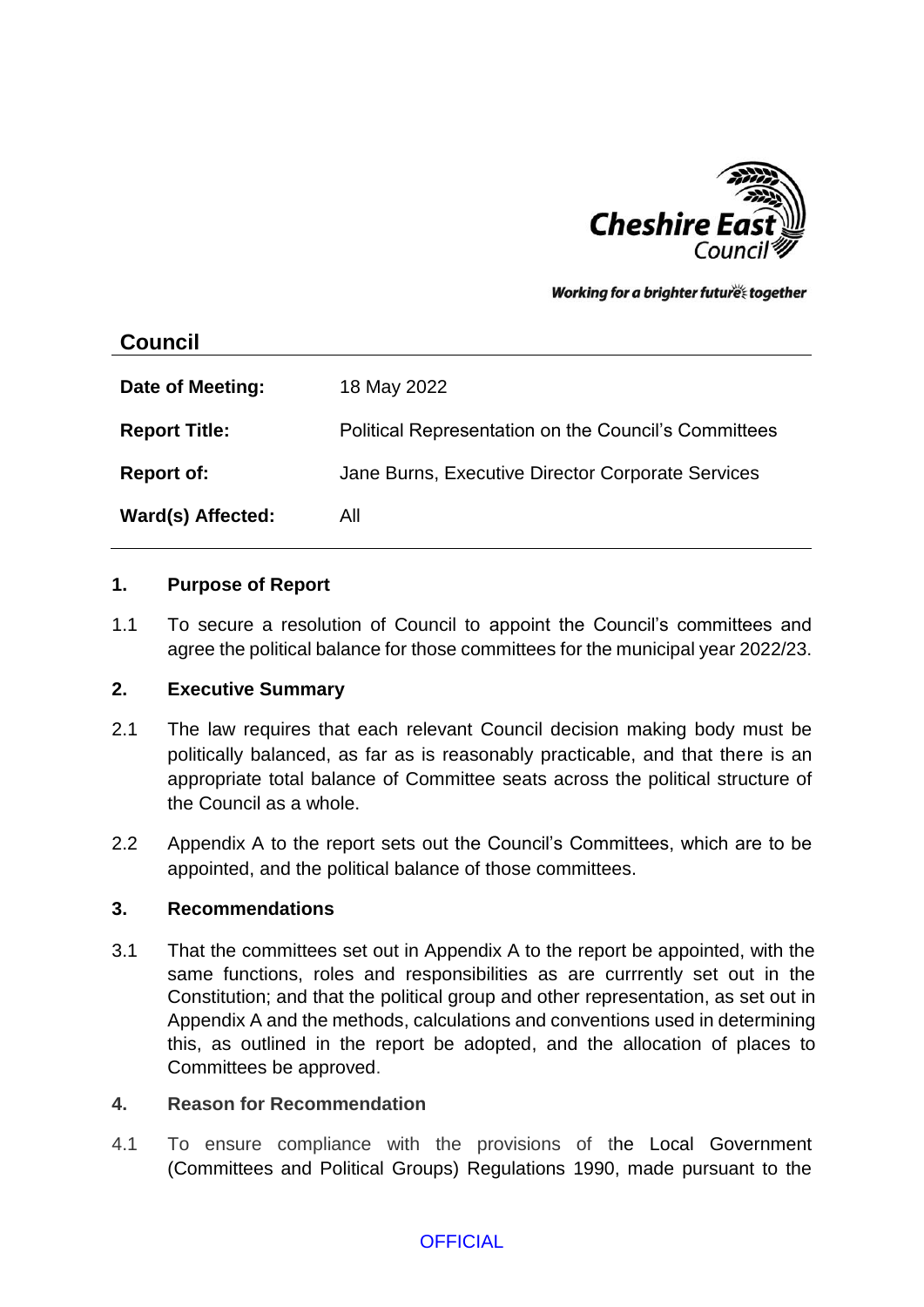

Working for a brighter futures together

# **Council**

| Date of Meeting:     | 18 May 2022                                          |
|----------------------|------------------------------------------------------|
| <b>Report Title:</b> | Political Representation on the Council's Committees |
| <b>Report of:</b>    | Jane Burns, Executive Director Corporate Services    |
| Ward(s) Affected:    | All                                                  |

### **1. Purpose of Report**

1.1 To secure a resolution of Council to appoint the Council's committees and agree the political balance for those committees for the municipal year 2022/23.

### **2. Executive Summary**

- 2.1 The law requires that each relevant Council decision making body must be politically balanced, as far as is reasonably practicable, and that there is an appropriate total balance of Committee seats across the political structure of the Council as a whole.
- 2.2 Appendix A to the report sets out the Council's Committees, which are to be appointed, and the political balance of those committees.

### **3. Recommendations**

3.1 That the committees set out in Appendix A to the report be appointed, with the same functions, roles and responsibilities as are currrently set out in the Constitution; and that the political group and other representation, as set out in Appendix A and the methods, calculations and conventions used in determining this, as outlined in the report be adopted, and the allocation of places to Committees be approved.

### **4. Reason for Recommendation**

4.1 To ensure compliance with the provisions of the Local Government (Committees and Political Groups) Regulations 1990, made pursuant to the

## **OFFICIAL**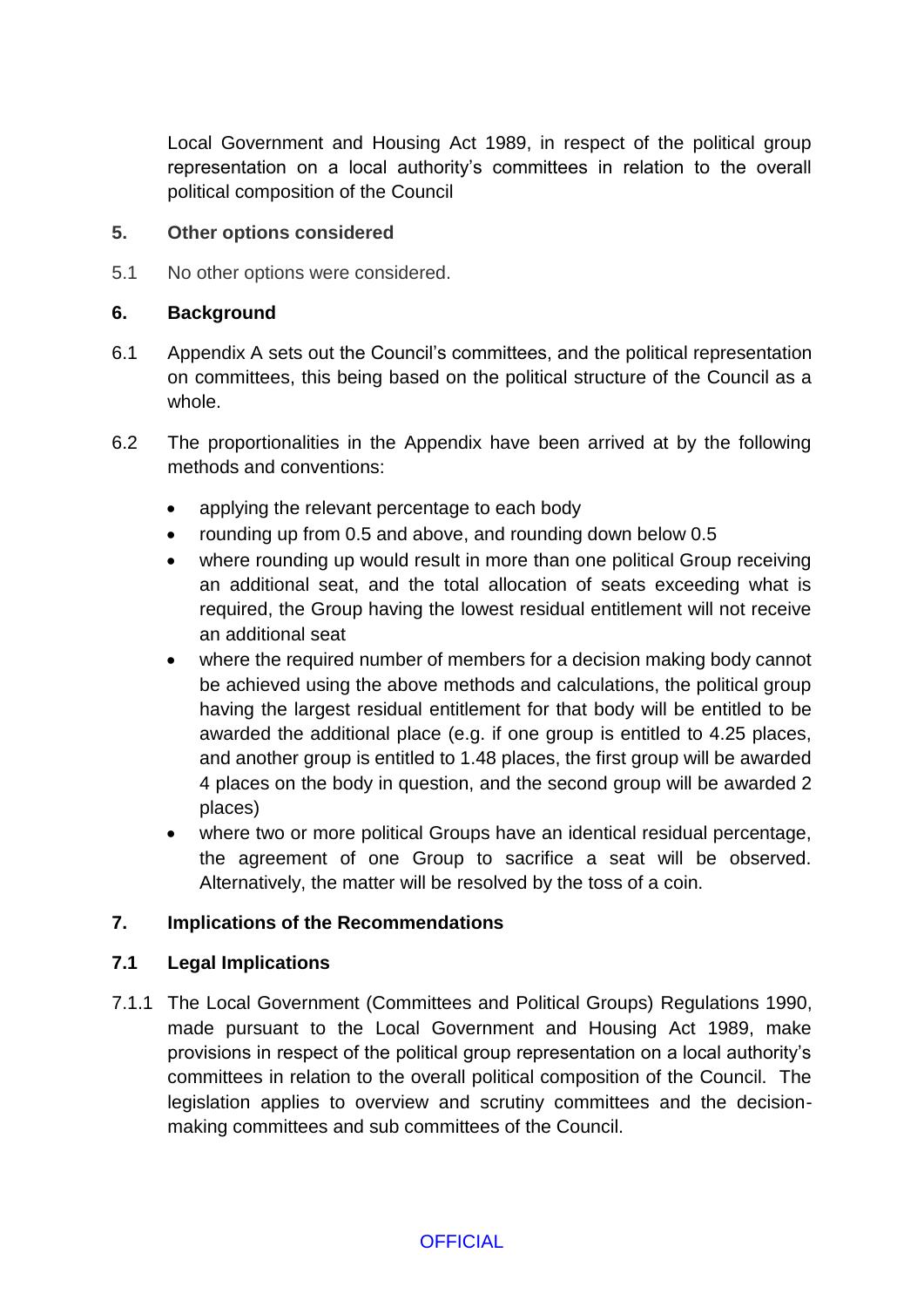Local Government and Housing Act 1989, in respect of the political group representation on a local authority's committees in relation to the overall political composition of the Council

### **5. Other options considered**

5.1 No other options were considered.

### **6. Background**

- 6.1 Appendix A sets out the Council's committees, and the political representation on committees, this being based on the political structure of the Council as a whole.
- 6.2 The proportionalities in the Appendix have been arrived at by the following methods and conventions:
	- applying the relevant percentage to each body
	- rounding up from 0.5 and above, and rounding down below 0.5
	- where rounding up would result in more than one political Group receiving an additional seat, and the total allocation of seats exceeding what is required, the Group having the lowest residual entitlement will not receive an additional seat
	- where the required number of members for a decision making body cannot be achieved using the above methods and calculations, the political group having the largest residual entitlement for that body will be entitled to be awarded the additional place (e.g. if one group is entitled to 4.25 places, and another group is entitled to 1.48 places, the first group will be awarded 4 places on the body in question, and the second group will be awarded 2 places)
	- where two or more political Groups have an identical residual percentage, the agreement of one Group to sacrifice a seat will be observed. Alternatively, the matter will be resolved by the toss of a coin.

## **7. Implications of the Recommendations**

### **7.1 Legal Implications**

7.1.1 The Local Government (Committees and Political Groups) Regulations 1990, made pursuant to the Local Government and Housing Act 1989, make provisions in respect of the political group representation on a local authority's committees in relation to the overall political composition of the Council. The legislation applies to overview and scrutiny committees and the decisionmaking committees and sub committees of the Council.

**OFFICIAL**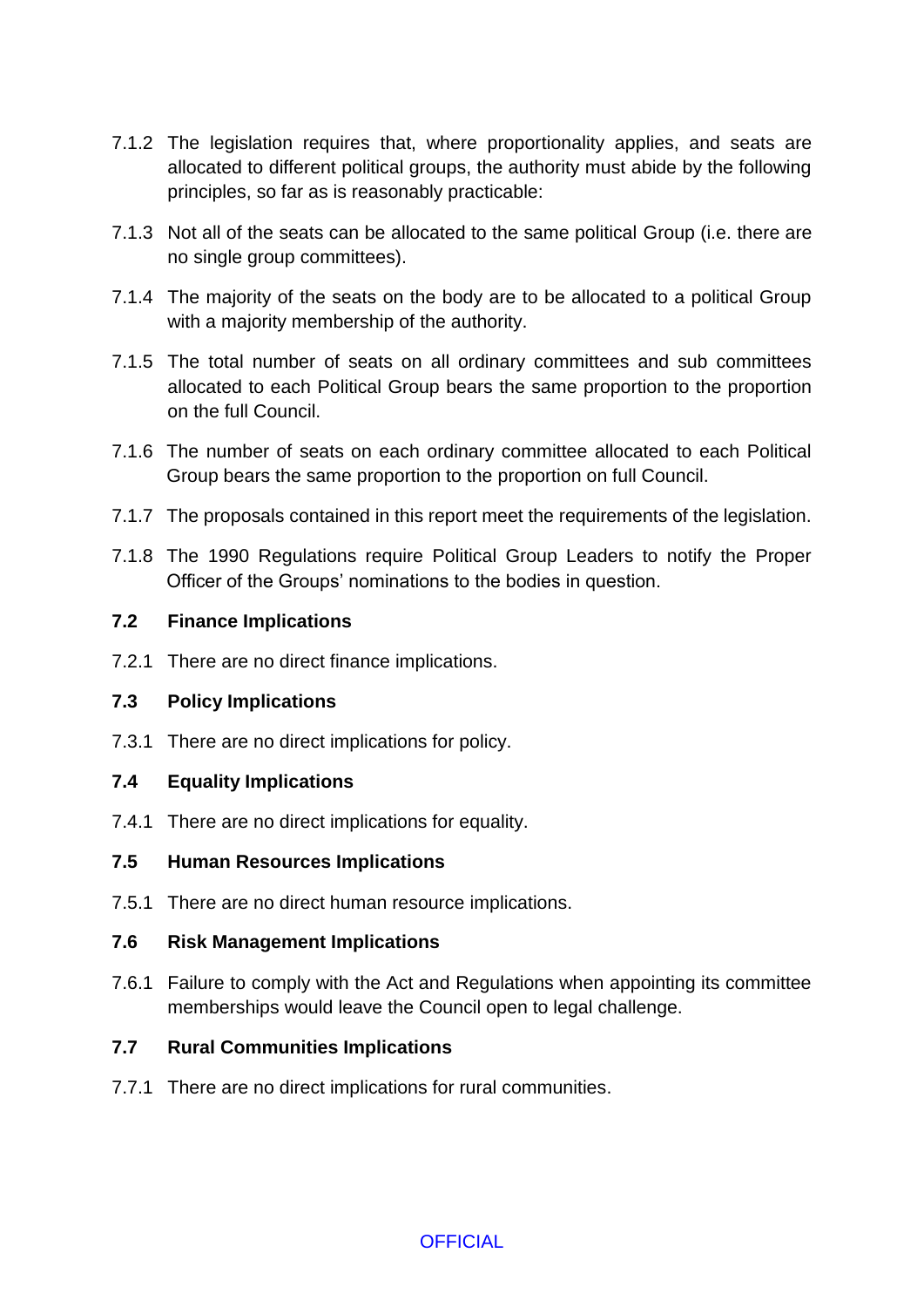- 7.1.2 The legislation requires that, where proportionality applies, and seats are allocated to different political groups, the authority must abide by the following principles, so far as is reasonably practicable:
- 7.1.3 Not all of the seats can be allocated to the same political Group (i.e. there are no single group committees).
- 7.1.4 The majority of the seats on the body are to be allocated to a political Group with a majority membership of the authority.
- 7.1.5 The total number of seats on all ordinary committees and sub committees allocated to each Political Group bears the same proportion to the proportion on the full Council.
- 7.1.6 The number of seats on each ordinary committee allocated to each Political Group bears the same proportion to the proportion on full Council.
- 7.1.7 The proposals contained in this report meet the requirements of the legislation.
- 7.1.8 The 1990 Regulations require Political Group Leaders to notify the Proper Officer of the Groups' nominations to the bodies in question.

### **7.2 Finance Implications**

7.2.1 There are no direct finance implications.

## **7.3 Policy Implications**

7.3.1 There are no direct implications for policy.

## **7.4 Equality Implications**

7.4.1 There are no direct implications for equality.

### **7.5 Human Resources Implications**

7.5.1 There are no direct human resource implications.

### **7.6 Risk Management Implications**

7.6.1 Failure to comply with the Act and Regulations when appointing its committee memberships would leave the Council open to legal challenge.

## **7.7 Rural Communities Implications**

7.7.1 There are no direct implications for rural communities.